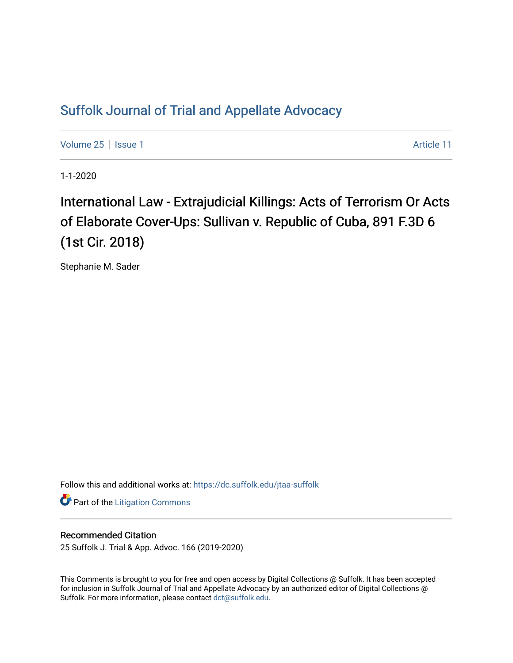## [Suffolk Journal of Trial and Appellate Advocacy](https://dc.suffolk.edu/jtaa-suffolk)

[Volume 25](https://dc.suffolk.edu/jtaa-suffolk/vol25) | [Issue 1](https://dc.suffolk.edu/jtaa-suffolk/vol25/iss1) Article 11

1-1-2020

# International Law - Extrajudicial Killings: Acts of Terrorism Or Acts of Elaborate Cover-Ups: Sullivan v. Republic of Cuba, 891 F.3D 6 (1st Cir. 2018)

Stephanie M. Sader

Follow this and additional works at: [https://dc.suffolk.edu/jtaa-suffolk](https://dc.suffolk.edu/jtaa-suffolk?utm_source=dc.suffolk.edu%2Fjtaa-suffolk%2Fvol25%2Fiss1%2F11&utm_medium=PDF&utm_campaign=PDFCoverPages) 

**Part of the [Litigation Commons](http://network.bepress.com/hgg/discipline/910?utm_source=dc.suffolk.edu%2Fjtaa-suffolk%2Fvol25%2Fiss1%2F11&utm_medium=PDF&utm_campaign=PDFCoverPages)** 

#### Recommended Citation

25 Suffolk J. Trial & App. Advoc. 166 (2019-2020)

This Comments is brought to you for free and open access by Digital Collections @ Suffolk. It has been accepted for inclusion in Suffolk Journal of Trial and Appellate Advocacy by an authorized editor of Digital Collections @ Suffolk. For more information, please contact [dct@suffolk.edu.](mailto:dct@suffolk.edu)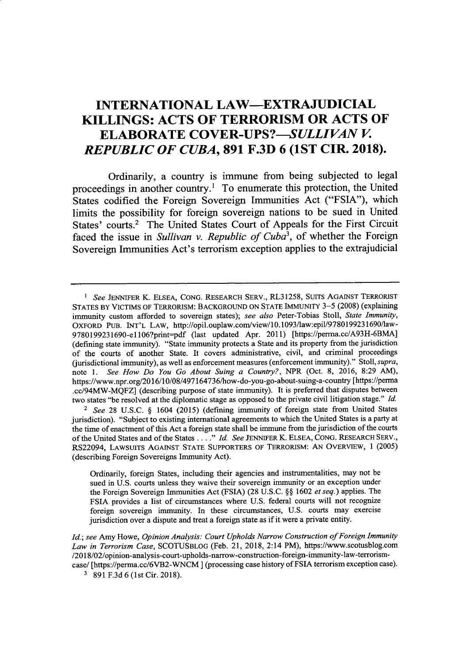### **INTERNATIONAL LAW-EXTRAJUDICIAL KILLINGS: ACTS OF TERRORISM OR ACTS OF ELABORATE** *COVER-UPS?-SULLIVAN V. REPUBLIC OF CUBA,* **891 F.3D 6 (1ST CIR. 2018).**

Ordinarily, a country is immune from being subjected to legal proceedings in another country.' To enumerate this protection, the United States codified the Foreign Sovereign Immunities Act **("FSIA"),** which limits the possibility for foreign sovereign nations to be sued in United States' courts.<sup>2</sup> The United States Court of Appeals for the First Circuit faced the issue in *Sullivan v. Republic of Cuba<sup>3</sup>*, of whether the Foreign Sovereign Immunities Act's terrorism exception applies to the extrajudicial

*2 See* 28 U.S.C. § 1604 (2015) (defining immunity of foreign state from United States jurisdiction). "Subject to existing international agreements to which the United States is a party at the time of enactment of this Act a foreign state shall be immune from the jurisdiction of the courts of the United States and of the States **.** *Id.* **I..."** *See* **JENNIFER** *K.* ELSEA, CONG. RESEARCH SERV., RS22094, LAWSUITS AGAINST **STATE** SUPPORTERS OF TERRORISM: AN OVERVIEW, 1 (2005) (describing Foreign Sovereigns Immunity Act).

Ordinarily, foreign States, including their agencies and instrumentalities, may not be sued in U.S. courts unless they waive their sovereign immunity or an exception under the Foreign Sovereign Immunities Act (FSIA) (28 U.S.C. §§ 1602 *et seq.)* applies. The FSIA provides a list of circumstances where U.S. federal courts will not recognize foreign sovereign immunity. In these circumstances, U.S. courts may exercise jurisdiction over a dispute and treat a foreign state as if it were a private entity.

*Id.; see* Amy Howe, *Opinion Analysis: Court Upholds Narrow Construction of Foreign Immunity Law in Terrorism Case,* SCOTUSBLOG (Feb. 21, 2018, 2:14 PM), https://www.scotusblog.com /2018/02/opinion-analysis-court-upholds-narrow-construction-foreign-immunity-aw-terrrismcase/ [https://perma.cc/6VB2-WNCM ] (processing case history of FSIA terrorism exception case).

*I See* **JENNIFER** K. **ELSEA, CONG.** RESEARCH SERV., RL31258, SUITS **AGAINST** TERRORIST STATES BY VICTIMS OF TERRORISM: BACKGROUND **ON** STATE IMMUNITY **3-5** (2008) (explaining immunity custom afforded to sovereign states); *see also* Peter-Tobias Stoll, *State Immunity,* OXFORD PUB. INT'L LAW, http://opil.ouplaw.com/view/10.1093/law:epil/9780199231690/law-9780199231690-el106?print=pdf (last updated Apr. 2011) [https://perma.cc/A93H-6BMA] (defining state immunity). "State immunity protects a State and its property from the jurisdiction of the courts of another State. It covers administrative, civil, and criminal proceedings (jurisdictional immunity), as well as enforcement measures (enforcement immunity)." Stoll, *supra,* note 1. *See How Do You Go About Suing a Country?,* NPR (Oct. 8, 2016, 8:29 AM), https://www.npr.org/2016/10/08/497164736/how-do-you-go-about-suing-a-country [https://perma .cc/94MW-MQFZ] (describing purpose of state immunity). It is preferred that disputes between two states "be resolved at the diplomatic stage as opposed to the private civil litigation stage." *Id.*

**<sup>3</sup>** 891 F.3d 6(lst Cir. 2018).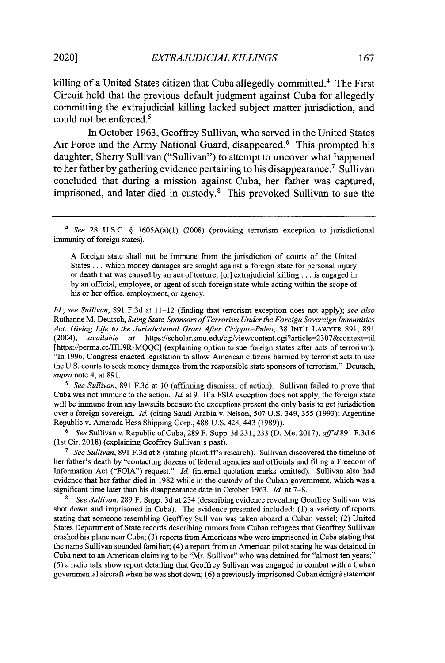killing of a United States citizen that Cuba allegedly committed.<sup>4</sup> The First Circuit held that the previous default judgment against Cuba for allegedly committing the extrajudicial killing lacked subject matter jurisdiction, and could not be enforced.<sup>5</sup>

In October **1963,** Geoffrey Sullivan, who served in the United States Air Force and the Army National Guard, disappeared.<sup>6</sup> This prompted his daughter, Sherry Sullivan ("Sullivan") to attempt to uncover what happened to her father **by** gathering evidence pertaining to his disappearance.7 Sullivan concluded that during a mission against Cuba, her father was captured, imprisoned, and later died in custody.8 This provoked Sullivan to sue the

*4 See* 28 U.S.C. § 1605A(a)(1) (2008) (providing terrorism exception to jurisdictional immunity of foreign states).

A foreign state shall not be immune from the jurisdiction of courts of the United States ... which money damages are sought against a foreign state for personal injury or death that was caused by an act of torture, [or] extrajudicial killing... is engaged in by an official, employee, or agent of such foreign state while acting within the scope of his or her office, employment, or agency.

*Id; see Sullivan,* 891 F.3d at 11-12 (finding that terrorism exception does not apply); *see also* Ruthanne M. Deutsch, *Suing State-Sponsors of Terrorism Under the Foreign Sovereign Immunities Act: Giving Life to the Jurisdictional Grant After Cicippio-Puleo,* 38 INT'L LAWYER 891, 891 (2004), *available at* https://scholar.smu.edu/cgi/viewcontent.cgi?article=2307&context-til [https://perma.cc/HU9R-MQQC] (explaining option to sue foreign states after acts of terrorism). "In 1996, Congress enacted legislation to allow American citizens harmed by terrorist acts to use the U.S. courts to seek money damages from the responsible state sponsors of terrorism." Deutsch, *supra* note 4, at 891.

<sup>5</sup> See Sullivan, 891 F.3d at 10 (affirming dismissal of action). Sullivan failed to prove that Cuba was not immune to the action. *Id.* at 9. **If** a FSIA exception does not apply, the foreign state will be immune from any lawsuits because the exceptions present the only basis to get jurisdiction over a foreign sovereign. *Id.* (citing Saudi Arabia v. Nelson, 507 U.S. 349, 355 (1993); Argentine Republic v. Amerada Hess Shipping Corp., 488 U.S. 428, 443 (1989)).

**6** *See* Sullivan v. Republic of Cuba, 289 F. Supp. 3d 231, 233 (D. Me. 2017), *affd* **891** F.3d **6** (1st Cir. 2018) (explaining Geoffrey Sullivan's past).

<sup>7</sup> *See Sullivan*, 891 F.3d at 8 (stating plaintiff's research). Sullivan discovered the timeline of her father's death by "contacting dozens of federal agencies and officials and filing a Freedom of Information Act ("FOIA") request." *Id.* (internal quotation marks omitted). Sullivan also had evidence that her father died in 1982 while in the custody of the Cuban government, which was a significant time later than his disappearance date in October 1963. *Id.* at 7-8.

**8** *See Sullivan,* 289 F. Supp. 3d at 234 (describing evidence revealing Geoffrey Sullivan was shot down and imprisoned in Cuba). The evidence presented included: (1) a variety of reports stating that someone resembling Geoffrey Sullivan was taken aboard a Cuban vessel; (2) United States Department of State records describing rumors from Cuban refugees that Geoffrey Sullivan crashed his plane near Cuba; (3) reports from Americans who were imprisoned in Cuba stating that the name Sullivan sounded familiar; (4) a report from an American pilot stating he was detained in Cuba next to an American claiming to be "Mr. Sullivan" who was detained for "almost ten years;" (5) a radio talk show report detailing that Geoffrey Sullivan was engaged in combat with a Cuban governmental aircraft when he was shot down;  $(6)$  a previously imprisoned Cuban émigré statement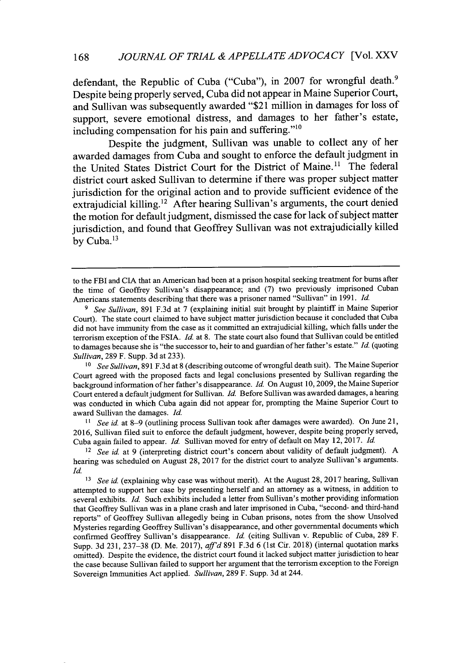defendant, the Republic of Cuba ("Cuba"), in 2007 for wrongful death.<sup>9</sup> Despite being properly served, Cuba did not appear in Maine Superior Court, and Sullivan was subsequently awarded "\$21 million in damages for loss of support, severe emotional distress, and damages to her father's estate, including compensation for his pain and suffering." $10$ 

Despite the judgment, Sullivan was unable to collect any of her awarded damages from Cuba and sought to enforce the default judgment in the United States District Court for the District of Maine.<sup>11</sup> The federal district court asked Sullivan to determine if there was proper subject matter jurisdiction for the original action and to provide sufficient evidence of the extrajudicial killing.<sup>12</sup> After hearing Sullivan's arguments, the court denied the motion for default judgment, dismissed the case for lack of subject matter jurisdiction, and found that Geoffrey Sullivan was not extrajudicially killed by Cuba.<sup>13</sup>

to the FBI and CIA that an American had been at a prison hospital seeking treatment for bums after the time of Geoffrey Sullivan's disappearance; and **(7)** two previously imprisoned Cuban Americans statements describing that there was a prisoner named "Sullivan" in 1991. **Id.**

**<sup>9</sup>** *See Sullivan,* 891 **F.3d** at 7 (explaining initial suit brought **by** plaintiff in Maine Superior Court). The state court claimed to have subject matter jurisdiction because it concluded that Cuba did not have immunity from the case as it committed an extrajudicial killing, which falls under the terrorism exception of the FSIA. *Id.* at 8. The state court also found that Sullivan could be entitled to damages because she is "the successor to, heir to and guardian of her father's estate." Id. (quoting *Sullivan,* 289 F. Supp. **3d** at **233).**

**<sup>&#</sup>x27;0** *See Sullivan,* 891 **F.3d** at 8 (describing outcome of wrongful death suit). The Maine Superior Court agreed with the proposed facts and legal conclusions presented **by** Sullivan regarding the background information of her father's disappearance. **Id.** On August 10, 2009, the Maine Superior Court entered a default judgment for Sullivan. Id. Before Sullivan was awarded damages, a hearing was conducted in which Cuba again did not appear for, prompting the Maine Superior Court to award Sullivan the damages. *Id.*

**<sup>11</sup>** *See id.* at 8-9 (outlining process Sullivan took after damages were awarded). On June 21, 2016, Sullivan filed suit to enforce the default judgment, however, despite being properly served, Cuba again failed to appear. *Id.* Sullivan moved for entry of default on May 12, 2017. Id.

<sup>&</sup>lt;sup>12</sup> See id. at 9 (interpreting district court's concern about validity of default judgment). A hearing was scheduled on August 28, 2017 for the district court to analyze Sullivan's arguments. Id.

<sup>&</sup>lt;sup>13</sup> See id. (explaining why case was without merit). At the August 28, 2017 hearing, Sullivan attempted to support her case **by** presenting herself and an attorney as a witness, in addition to several exhibits. Id. Such exhibits included a letter from Sullivan's mother providing information that Geoffrey Sullivan was in a plane crash and later imprisoned in Cuba, "second- and third-hand reports" of Geoffrey Sullivan allegedly being in Cuban prisons, notes from the show Unsolved Mysteries regarding Geoffrey Sullivan's disappearance, and other governmental documents which confirmed Geoffrey Sullivan's disappearance. Id. (citing Sullivan v. Republic of Cuba, 289 F. Supp. **3d 231,** 237-38 **(D. Me.** 2017), *aff'd* 891 **F.3d** 6 (1st Cir. 2018) (internal quotation marks omitted). Despite the evidence, the district court found it lacked subject matter jurisdiction to hear the case because Sullivan failed to support her argument that the terrorism exception to the Foreign Sovereign Immunities Act applied. *Sullivan,* 289 F. Supp. **3d** at 244.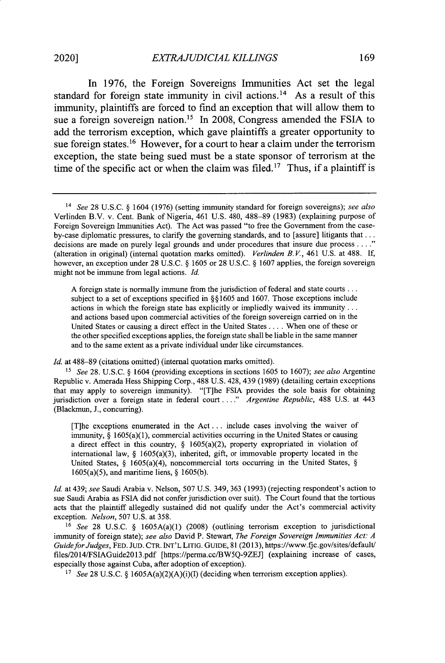In **1976,** the Foreign Sovereigns Immunities Act set the legal standard for foreign state immunity in civil actions.<sup>14</sup> As a result of this immunity, plaintiffs are forced to find an exception that will allow them to sue a foreign sovereign nation.'5 In **2008,** Congress amended the **FSIA** to add the terrorism exception, which gave plaintiffs a greater opportunity to sue foreign states.<sup>16</sup> However, for a court to hear a claim under the terrorism exception, the state being sued must be a state sponsor of terrorism at the time of the specific act or when the claim was filed.<sup>17</sup> Thus, if a plaintiff is

A foreign state is normally immune from the jurisdiction of federal and state courts... subject to a set of exceptions specified in §§ 1605 and 1607. Those exceptions include actions in which the foreign state has explicitly or impliedly waived its immunity... and actions based upon commercial activities of the foreign sovereign carried on in the United States or causing a direct effect in the United States .... When one of these or the other specified exceptions applies, the foreign state shall be liable in the same manner and to the same extent as a private individual under like circumstances.

*Id.* at 488-89 (citations omitted) (internal quotation marks omitted).

15 *See* 28. U.S.C. § 1604 (providing exceptions in sections 1605 to 1607); *see also* Argentine Republic v. Amerada Hess Shipping Corp., 488 U.S. 428, 439 (1989) (detailing certain exceptions that may apply to sovereign immunity). "[T]he FSIA provides the sole basis for obtaining jurisdiction over a foreign state in federal court ...." Argentine Republic, 488 U.S. at 443 (Blackmun, J., concurring).

[T]he exceptions enumerated in the Act **...** include cases involving the waiver of immunity, § 1605(a)(1), commercial activities occurring in the United States or causing a direct effect in this country, § 1605(a)(2), property expropriated in violation of international law,  $\S$  1605(a)(3), inherited, gift, or immovable property located in the United States, § 1605(a)(4), noncommercial torts occurring in the United States, § 1605(a)(5), and maritime liens, § 1605(b).

*Id.* at 439; *see* Saudi Arabia v. Nelson, 507 U.S. 349, 363 (1993) (rejecting respondent's action to sue Saudi Arabia as FSIA did not confer jurisdiction over suit). The Court found that the tortious acts that the plaintiff allegedly sustained did not qualify under the Act's commercial activity exception. *Nelson,* 507 U.S. at 358.

<sup>16</sup>*See* 28 U.S.C. § 1605A(a)(1) (2008) (outlining terrorism exception to jurisdictional immunity of foreign state); *see also* David P. Stewart, *The Foreign Sovereign Immunities Act: A Guide for Judges,* FED. JUD. CTR. INT'L LITIG. GuIDE, 81 (2013), https://www.fjc.gov/sites/default/ files/2014/FSIAGuide2Ol3.pdf [https://perma.cc/BW5Q-9ZEJ] (explaining increase of cases, especially those against Cuba, after adoption of exception).

*<sup>17</sup>See* 28 U.S.C. **§** 1605A(a)(2)(A)(i)(I) (deciding when terrorism exception applies).

<sup>14</sup>*See* 28 U.S.C. § 1604 (1976) (setting immunity standard for foreign sovereigns); *see also* Verlinden B.V. v. Cent. Bank of Nigeria, 461 U.S. 480, 488-89 (1983) (explaining purpose of Foreign Sovereign Immunities Act). The Act was passed "to free the Government from the caseby-case diplomatic pressures, to clarify the governing standards, and to [assure] litigants that... decisions are made on purely legal grounds and under procedures that insure due process **.... "** (alteration in original) (internal quotation marks omitted). *Verlinden B. V.,* 461 U.S. at 488. If, however, an exception under 28 U.S.C. § 1605 or 28 U.S.C. § 1607 applies, the foreign sovereign might not be immune from legal actions. *Id.*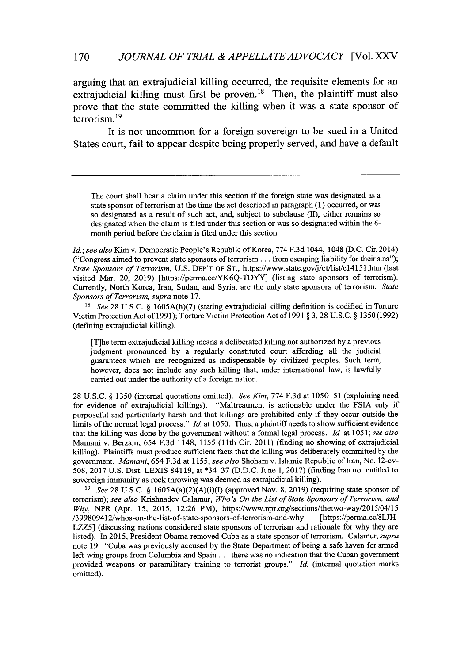arguing that an extrajudicial killing occurred, the requisite elements for an extrajudicial killing must first be proven.<sup>18</sup> Then, the plaintiff must also prove that the state committed the killing when it was a state sponsor of terrorism.<sup>19</sup>

It is not uncommon for a foreign sovereign to be sued in a United States court, fail to appear despite being properly served, and have a default

The court shall hear a claim under this section if the foreign state was designated as a state sponsor of terrorism at the time the act described in paragraph (1) occurred, or was so designated as a result of such act, and, subject to subclause (II), either remains so designated when the claim is filed under this section or was so designated within the 6 month period before the claim is filed under this section.

*Id.; see also* Kim v. Democratic People's Republic of Korea, 774 F.3d 1044, 1048 (D.C. Cir. 2014) ("Congress aimed to prevent state sponsors of terrorism.., from escaping liability for their sins"); *State Sponsors of Terrorism,* U.S. DEP'T OF ST., https://www.state.gov/j/ct/list/cl4l5l.htm (last visited Mar. 20, 2019) [https://perma.cc/YK6Q-TDYY] (listing state sponsors of terrorism). Currently, North Korea, Iran, Sudan, and Syria, are the only state sponsors of terrorism. *State Sponsors of Terrorism, supra* note 17.

*15 See* 28 U.S.C. § 1605A(h)(7) (stating extrajudicial killing definition is codified in Torture Victim Protection Act of 1991); Torture Victim Protection Act of 1991 § 3, 28 U.S.C. § 1350 (1992) (defining extrajudicial killing).

[T]he term extrajudicial killing means a deliberated killing not authorized by a previous judgment pronounced by a regularly constituted court affording all the judicial guarantees which are recognized as indispensable by civilized peoples. Such term, however, does not include any such killing that, under international law, is lawfully carried out under the authority of a foreign nation.

28 U.S.C. § 1350 (internal quotations omitted). *See Kim,* 774 F.3d at 1050-51 (explaining need for evidence of extrajudicial killings). "Maltreatment is actionable under the FSIA only if purposeful and particularly harsh and that killings are prohibited only if they occur outside the limits of the normal legal process." *Id.* at 1050. Thus, a plaintiff needs to show sufficient evidence that the killing was done by the government without a formal legal process. *Id.* at 1051; *see also* Mamam v. Berzain, 654 F.3d 1148, 1155 (11th Cir. 2011) (finding no showing of extrajudicial killing). Plaintiffs must produce sufficient facts that the killing was deliberately committed by the government. *Mamani,* 654 F.3d at 1155; *see also* Shoham v. Islamic Republic oflran, No. 12-cv-508, 2017 U.S. Dist. LEXIS 84119, at \*34-37 (D.D.C. June 1, 2017) (finding Iran not entitled to sovereign immunity as rock throwing was deemed as extrajudicial killing).

*<sup>19</sup>See* 28 U.S.C. § 1605A(a)(2)(A)(i)(I) (approved Nov. 8, 2019) (requiring state sponsor of terrorism); *see also* Krishnadev Calamur, *Who's On the List of State Sponsors of Terrorism, and Why,* NPR (Apr. 15, 2015, 12:26 PM), https://www.npr.org/sections/thetwo-way/2015/04/15 /399809412/whos-on-the-list-of-state-sponsors-of-terrorism-and-why [https://perma.cc/8LJH-LZZ5] (discussing nations considered state sponsors of terrorism and rationale for why they are listed). In 2015, President Obama removed Cuba as a state sponsor of terrorism. Calamur, *supra* note 19. "Cuba was previously accused by the State Department of being a safe haven for armed left-wing groups from Columbia and Spain... there was no indication that the Cuban government provided weapons or paramilitary training to terrorist groups." *Id.* (internal quotation marks omitted).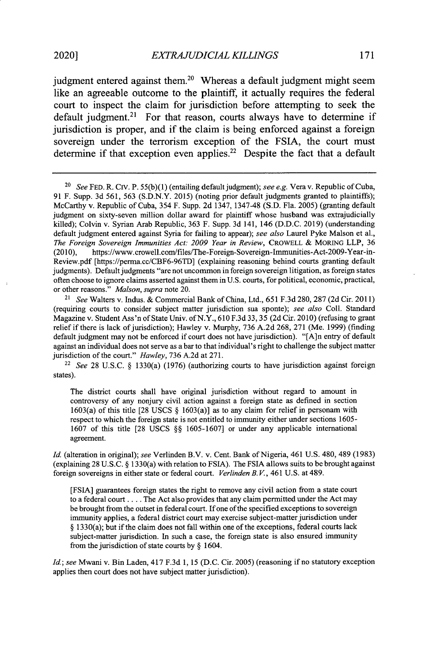judgment entered against them.<sup>20</sup> Whereas a default judgment might seem like an agreeable outcome to the plaintiff, it actually requires the federal court to inspect the claim for jurisdiction before attempting to seek the default judgment.<sup>21</sup> For that reason, courts always have to determine if jurisdiction is proper, and if the claim is being enforced against a foreign sovereign under the terrorism exception of the **FSIA,** the court must determine if that exception even applies.<sup>22</sup> Despite the fact that a default

21 *See* Walters v. Indus. & Commercial Bank of China, Ltd., 651 F.3d 280, 287 (2d Cir. 2011) (requiring courts to consider subject matter jurisdiction sua sponte); *see also* Coll. Standard Magazine v. Student Ass'n of State Univ. of N.Y., 610 F.3d 33, 35 (2d Cir. 2010) (refusing to grant relief if there is lack of jurisdiction); Hawley v. Murphy, 736 A.2d 268, 271 (Me. 1999) (finding default judgment may not be enforced if court does not have jurisdiction). "[A]n entry of default against an individual does not serve as a bar to that individual's right to challenge the subject matter jurisdiction of the court." *Hawley,* 736 A.2d at 271.

*<sup>22</sup>See* 28 U.S.C. *§* 1330(a) (1976) (authorizing courts to have jurisdiction against foreign states).

The district courts shall have original jurisdiction without regard to amount in controversy of any nonjury civil action against a foreign state as defined in section 1603(a) of this title [28 USCS *§* 1603(a)] as to any claim for relief in personam with respect to which the foreign state is not entitled to immunity either under sections 1605- 1607 of this title [28 USCS *§§* 1605-1607] or under any applicable international agreement.

*Id.* (alteration in original); *see* Verlinden B.V. v. Cent. Bank of Nigeria, 461 U.S. 480, 489 (1983) (explaining 28 U.S.C. § 1330(a) with relation to FSIA). The FSIA allows suits to be brought against foreign sovereigns in either state or federal court. *Verlinden B. V.,* 461 U.S. at 489.

[FSIA] guarantees foreign states the right to remove any civil action from a state court to a federal court .... The Act also provides that any claim permitted under the Act may be brought from the outset in federal court. If one of the specified exceptions to sovereign immunity applies, a federal district court may exercise subject-matter jurisdiction under *§* 1330(a); but if the claim does not fall within one of the exceptions, federal courts lack subject-matter jurisdiction. In such a case, the foreign state is also ensured immunity from the jurisdiction of state courts by *§* 1604.

*Id.; see* Mwani v. Bin Laden, 417 F.3d 1, 15 (D.C. Cir. 2005) (reasoning if no statutory exception applies then court does not have subject matter jurisdiction).

*<sup>20</sup>See* FED. R. **Civ.** P. 55(b)(1) (entailing default judgment); *see e.g.* Vera v. Republic of Cuba, 91 F. Supp. 3d 561, 563 (S.D.N.Y. 2015) (noting prior default judgments granted to plaintiffs); McCarthy v. Republic of Cuba, 354 F. Supp. 2d 1347, 1347-48 (S.D. Fla. 2005) (granting default judgment on sixty-seven million dollar award for plaintiff whose husband was extrajudicially killed); Colvin v. Syrian Arab Republic, 363 F. Supp. 3d 141, 146 (D.D.C. 2019) (understanding default judgment entered against Syria for failing to appear); *see also* Laurel Pyke Malson et al., *The Foreign Sovereign Immunities Act: 2009 Year in Review, CROWELL & MORING LLP, 36* (2010), https://www.crowell.com/files/The-Foreign-Sovereign-Immunities-Act-2009-Year-inhttps://www.crowell.com/files/The-Foreign-Sovereign-Immunities-Act-2009-Year-in-Review.pdf [https://perma.cc/CBF6-96TD] (explaining reasoning behind courts granting default judgments). Default judgments "are not uncommon in foreign sovereign litigation, as foreign states often choose to ignore claims asserted against them in U.S. courts, for political, economic, practical, or other reasons." *Malson, supra* note 20.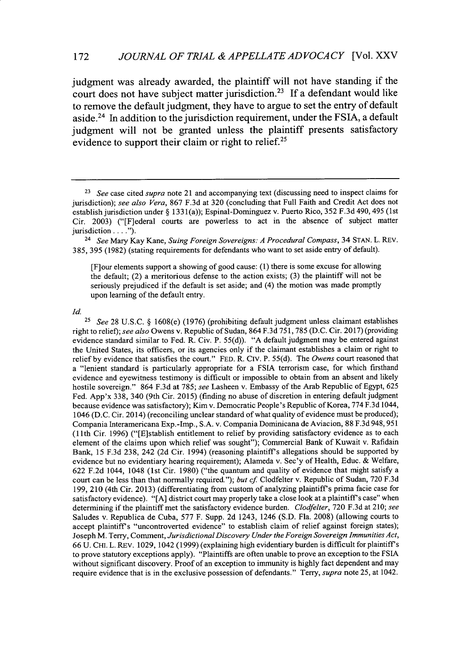judgment was already awarded, the plaintiff will not have standing if the court does not have subject matter jurisdiction.<sup>23</sup> If a defendant would like to remove the default judgment, they have to argue to set the entry of default aside.<sup>24</sup> In addition to the jurisdiction requirement, under the FSIA, a default judgment will not be granted unless the plaintiff presents satisfactory evidence to support their claim or right to relief.<sup>25</sup>

[F]our elements support a showing of good cause: (1) there is some excuse for allowing the default; (2) a meritorious defense to the action exists; (3) the plaintiff will not be seriously prejudiced if the default is set aside; and (4) the motion was made promptly upon learning of the default entry.

*Id.*

**<sup>25</sup>***See* 28 U.S.C. § 1608(e) (1976) (prohibiting default judgment unless claimant establishes right to relief); *see also* Owens v. Republic of Sudan, 864 F.3d 751,785 (D.C. Cir. 2017) (providing evidence standard similar to Fed. R. Civ. P. 55(d)). "A default judgment may be entered against the United States, its officers, or its agencies only if the claimant establishes a claim or right to relief by evidence that satisfies the court." FED. R. CiV. P. 55(d). The *Owens* court reasoned that a "lenient standard is particularly appropriate for a FSIA terrorism case, for which firsthand evidence and eyewitness testimony is difficult or impossible to obtain from an absent and likely hostile sovereign." 864 F.3d at 785; *see* Lasheen v. Embassy of the Arab Republic of Egypt, 625 Fed. App'x 338, 340 (9th Cir. 2015) (finding no abuse of discretion in entering default judgment because evidence was satisfactory); Kim v. Democratic People's Republic of Korea, 774 F.3d 1044, 1046 (D.C. Cir. 2014) (reconciling unclear standard of what quality of evidence must be produced); Compania Interamericana Exp.-Imp., S.A. v. Compania Dominicana de Aviacion, 88 F.3d 948,951 (11 th Cir. 1996) ("[E]stablish entitlement to relief by providing satisfactory evidence as to each element of the claims upon which relief was sought"); Commercial Bank of Kuwait v. Rafidain Bank, 15 F.3d 238, 242 (2d Cir. 1994) (reasoning plaintiff's allegations should be supported by evidence but no evidentiary hearing requirement); Alameda v. Sec'y of Health, Educ. & Welfare, 622 F.2d 1044, 1048 (1st Cir. 1980) ("the quantum and quality of evidence that might satisfy a court can be less than that normally required."); *but cf* Clodfelter v. Republic of Sudan, 720 F.3d 199, 210 (4th Cir. 2013) (differentiating from custom of analyzing plaintiff's prima facie case for satisfactory evidence). "[A] district court may properly take a close look at a plaintiff's case" when determining if the plaintiff met the satisfactory evidence burden. *Clodfelter,* 720 F.3d at 210; *see* Saludes v. Republica de Cuba, 577 F. Supp. 2d 1243, 1246 (S.D. Fla. 2008) (allowing courts to accept plaintiffs "uncontroverted evidence" to establish claim of relief against foreign states); Joseph M. Terry, Comment, *Jurisdictional Discovery Under the Foreign Sovereign Immunities Act,* 66 U. CHi. L. REV. 1029, 1042 (1999) (explaining high evidentiary burden is difficult for plaintiff's to prove statutory exceptions apply). "Plaintiffs are often unable to prove an exception to the FSIA without significant discovery. Proof of an exception to immunity is highly fact dependent and may require evidence that is in the exclusive possession of defendants." Terry, *supra* note 25, at 1042.

**<sup>23</sup>***See* case cited *supra* note 21 and accompanying text (discussing need to inspect claims for jurisdiction); *see also Vera,* 867 F.3d at 320 (concluding that Full Faith and Credit Act does not establish jurisdiction under § 133 l(a)); Espinal-Dominguez v. Puerto Rico, 352 F.3d 490, 495 (1st Cir. 2003) ("[F]ederal courts are powerless to act in the absence of subject matter jurisdiction . . . .").

<sup>24</sup>*See* Mary Kay Kane, *Suing Foreign Sovereigns: A Procedural Compass,* 34 STAN. L. REV. 385, 395 (1982) (stating requirements for defendants who want to set aside entry of default).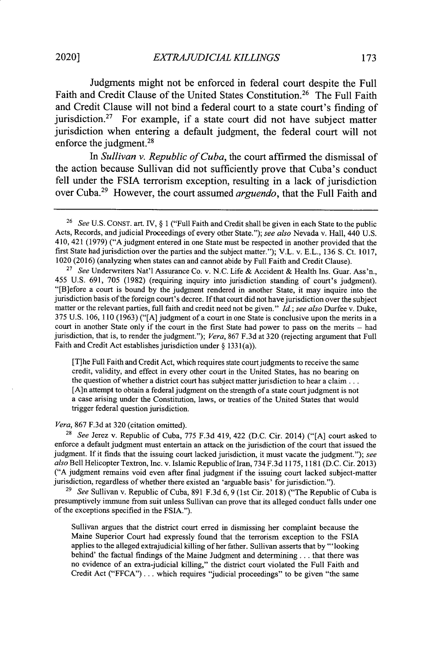2020]

Judgments might not be enforced in federal court despite the Full Faith and Credit Clause of the United States Constitution.<sup>26</sup> The Full Faith and Credit Clause will not bind a federal court to a state court's finding of jurisdiction.<sup>27</sup> For example, if a state court did not have subject matter jurisdiction when entering a default judgment, the federal court will not enforce the judgment.<sup>28</sup>

*In Sullivan v. Republic of Cuba,* the court affirmed the dismissal of the action because Sullivan did not sufficiently prove that Cuba's conduct fell under the **FSIA** terrorism exception, resulting in a lack of jurisdiction over Cuba.<sup>29</sup> However, the court assumed *arguendo*, that the Full Faith and

[T]he Full Faith and Credit Act, which requires state court judgments to receive the same credit, validity, and effect in every other court in the United States, has no bearing on the question of whether a district court has subject matter jurisdiction to hear a claim... [A]n attempt to obtain a federal judgment on the strength of a state court judgment is not a case arising under the Constitution, laws, or treaties of the United States that would trigger federal question jurisdiction.

#### *Vera,* 867 F.3d at 320 (citation omitted).

28 *See* Jerez v. Republic of Cuba, 775 F.3d 419, 422 (D.C. Cir. 2014) ("[A] court asked to enforce a default judgment must entertain an attack on the jurisdiction of the court that issued the judgment. If it finds that the issuing court lacked jurisdiction, it must vacate the judgment."); *see also* Bell Helicopter Textron, Inc. v. Islamic Republic ofIran, 734 F.3d 1175, 1181 (D.C. Cir. 2013) ("A judgment remains void even after final judgment if the issuing court lacked subject-matter jurisdiction, regardless of whether there existed an 'arguable basis' for jurisdiction.").

<sup>29</sup>*See* Sullivan v. Republic of Cuba, 891 F.3d 6, 9 (1st Cir. 2018) ("The Republic of Cuba is presumptively immune from suit unless Sullivan can prove that its alleged conduct falls under one of the exceptions specified in the FSIA.").

Sullivan argues that the district court erred in dismissing her complaint because the Maine Superior Court had expressly found that the terrorism exception to the FSIA applies to the alleged extrajudicial killing of her father. Sullivan asserts that by "'looking behind' the factual findings of the Maine Judgment and determining... that there was no evidence of an extra-judicial killing," the district court violated the Full Faith and Credit Act ("FFCA") **...** which requires "judicial proceedings" to be given "the same

<sup>26</sup> *See* U.S. CONST. art. IV, § 1 ("Full Faith and Credit shall be given in each State to the public Acts, Records, and judicial Proceedings of every other State."); *see also* Nevada v. Hall, 440 U.S. 410, 421 (1979) ("A judgment entered in one State must be respected in another provided that the first State had jurisdiction over the parties and the subject matter."); V.L. v. E.L., 136 **S.** Ct. 1017, 1020 (2016) (analyzing when states can and cannot abide by Full Faith and Credit Clause).

<sup>27</sup>*See* Underwriters Nat'l Assurance Co. v. N.C. Life & Accident & Health Ins. Guar. Ass'n., 455 U.S. 691, 705 (1982) (requiring inquiry into jurisdiction standing of court's judgment). "[B]efore a court is bound by the judgment rendered in another State, it may inquire into the jurisdiction basis of the foreign court's decree. If that court did not have jurisdiction over the subject matter or the relevant parties, full faith and credit need not be given." *Id.; see also* Durfee v. Duke, 375 U.S. 106, 110 (1963) ("[A] judgment of a court in one State is conclusive upon the merits in a court in another State only if the court in the first State had power to pass on the merits **-** had jurisdiction, that is, to render the judgment."); *Vera,* 867 F.3d at 320 (rejecting argument that Full Faith and Credit Act establishes jurisdiction under § 1331(a)).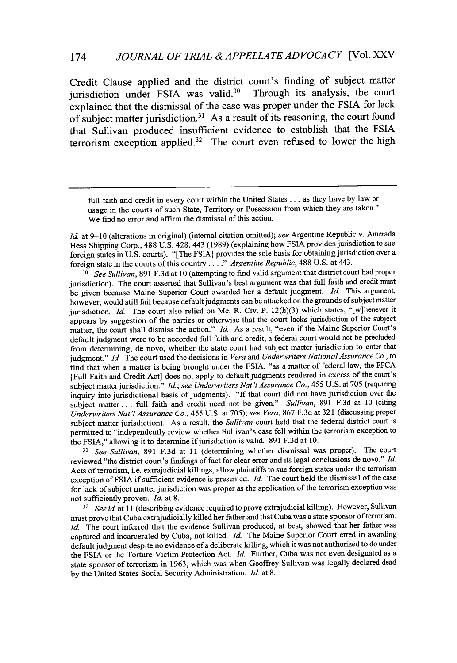Credit Clause applied and the district court's finding of subject matter jurisdiction under FSIA was valid.<sup>30</sup> Through its analysis, the court explained that the dismissal of the case was proper under the **FSIA** for lack of subject matter jurisdiction.<sup>31</sup> As a result of its reasoning, the court found that Sullivan produced insufficient evidence to establish that the **FSIA** terrorism exception applied. $32$  The court even refused to lower the high

*Id.* at 9-10 (alterations in original) (internal citation omitted); see Argentine Republic v. Amerada Hess Shipping Corp., 488 U.S. 428, 443 (1989) (explaining how FSIA provides jurisdiction to sue foreign states in U.S. courts). "[The FSIA] provides the sole basis for obtaining jurisdiction over a foreign state in the courts of this country **.. "** *Argentine Republic,* 488 U.S. at 443.

*<sup>30</sup>See Sullivan,* 891 F.3d at 10 (attempting to find valid argument that district court had proper jurisdiction). The court asserted that Sullivan's best argument was that full faith and credit must be given because Maine Superior Court awarded her a default judgment. *Id* This argument, however, would still fail because default judgments can be attacked on the grounds of subject matter jurisdiction. *Id.* The court also relied on Me. R. Civ. P. 12(h)(3) which states, "[w]henever it appears by suggestion of the parties or otherwise that the court lacks jurisdiction of the subject matter, the court shall dismiss the action." *Id.* As a result, "even if the Maine Superior Court's default judgment were to be accorded full faith and credit, a federal court would not be precluded from determining, de novo, whether the state court had subject matter jurisdiction to enter that judgment." *Id.* The court used the decisions in *Vera* and *Underwriters National Assurance Co.,* to find that when a matter is being brought under the FSIA, "as a matter of federal law, the FFCA [Full Faith and Credit Act] does not apply to default judgments rendered in excess of the court's subject matter jurisdiction." *Id.; see Underwriters Nat'l Assurance Co.*, 455 U.S. at 705 (requiring inquiry into jurisdictional basis of judgments). "If that court did not have jurisdiction over the subject matter **...** full faith and credit need not be given." *Sullivan,* 891 F.3d at 10 (citing *Underwriters Nat'l Assurance Co.,* 455 U.S. at 705); *see Vera,* 867 F.3d at 321 (discussing proper subject matter jurisdiction). As a result, the *Sullivan* court held that the federal district court is permitted to "independently review whether Sullivan's case fell within the terrorism exception to the FSIA," allowing it to determine if jurisdiction is valid. 891 F.3d at 10.

*31 See Sullivan,* 891 F.3d at 11 (determining whether dismissal was proper). The court reviewed "the district court's findings of fact for clear error and its legal conclusions de novo." *Id.* Acts of terrorism, i.e. extrajudicial killings, allow plaintiffs to sue foreign states under the terrorism exception of FSIA if sufficient evidence is presented. Id. The court held the dismissal of the case for lack of subject matter jurisdiction was proper as the application of the terrorism exception was not sufficiently proven. *Id.* at 8.

**<sup>32</sup>***See id* at 11 (describing evidence required to prove extrajudicial killing). However, Sullivan must prove that Cuba extrajudicially killed her father and that Cuba was a state sponsor of terrorism. *Id.* The court inferred that the evidence Sullivan produced, at best, showed that her father was captured and incarcerated by Cuba, not killed. *Id.* The Maine Superior Court erred in awarding default judgment despite no evidence of a deliberate killing, which it was not authorized to do under the FSIA or the Torture Victim Protection Act. *Id.* Further, Cuba was not even designated as a state sponsor of terrorism in 1963, which was when Geoffrey Sullivan was legally declared dead by the United States Social Security Administration. Id. at 8.

full faith and credit in every court within the United States ... as they have by law or usage in the courts of such State, Territory or Possession from which they are taken." We find no error and affirm the dismissal of this action.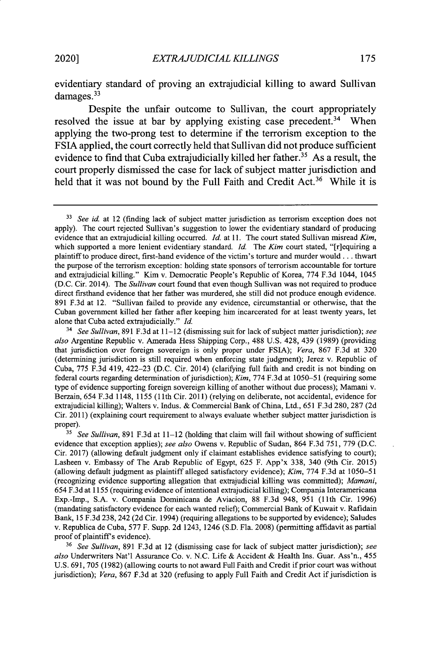evidentiary standard of proving an extrajudicial killing to award Sullivan damages.<sup>33</sup>

Despite the unfair outcome to Sullivan, the court appropriately resolved the issue at bar by applying existing case precedent.<sup>34</sup> When applying the two-prong test to determine if the terrorism exception to the **FSIA** applied, the court correctly held that Sullivan did not produce sufficient evidence to find that Cuba extrajudicially killed her father.<sup>35</sup> As a result, the court properly dismissed the case for lack of subject matter jurisdiction and held that it was not bound by the Full Faith and Credit Act.<sup>36</sup> While it is

<sup>36</sup>*See Sullivan,* 891 F.3d at 12 (dismissing case for lack of subject matter jurisdiction); *see also* Underwriters Nat'l Assurance Co. v. N.C. Life & Accident & Health Ins. Guar. Ass'n., 455 U.S. 691, 705 (1982) (allowing courts to not award Full Faith and Credit if prior court was without jurisdiction); *Vera,* 867 F.3d at 320 (refusing to apply Full Faith and Credit Act if jurisdiction is

<sup>&</sup>lt;sup>33</sup> See id. at 12 (finding lack of subject matter jurisdiction as terrorism exception does not apply). The court rejected Sullivan's suggestion to lower the evidentiary standard of producing evidence that an extrajudicial killing occurred. *Id.* at 11. The court stated Sullivan misread *Kim,* which supported a more lenient evidentiary standard. *Id.* The Kim court stated, "[r]equiring a plaintiff to produce direct, first-hand evidence of the victim's torture and murder would... thwart the purpose of the terrorism exception: holding state sponsors of terrorism accountable for torture and extrajudicial killing." Kim v. Democratic People's Republic of Korea, 774 F.3d 1044, 1045 (D.C. Cir. 2014). The *Sullivan* court found that even though Sullivan was not required to produce direct firsthand evidence that her father was murdered, she still did not produce enough evidence. 891 F.3d at 12. "Sullivan failed to provide any evidence, circumstantial or otherwise, that the Cuban government killed her father after keeping him incarcerated for at least twenty years, let alone that Cuba acted extrajudicially." *Id.*

*<sup>14</sup> See Sullivan,* 891 F.3d at 11-12 (dismissing suit for lack of subject matter jurisdiction); *see also* Argentine Republic v. Amerada Hess Shipping Corp., 488 **U.S.** 428, 439 (1989) (providing that jurisdiction over foreign sovereign is only proper under **FSIA);** *Vera,* 867 F.3d at 320 (determining jurisdiction is still required when enforcing state judgment); Jerez v. Republic of Cuba, 775 F.3d 419, 422-23 (D.C. Cir. 2014) (clarifying full faith and credit is not binding on federal courts regarding determination of jurisdiction); *Kim*, 774 F.3d at 1050–51 (requiring some type of evidence supporting foreign sovereign killing of another without due process); Mamani v. Berzain, 654 F.3d 1148, 1155 (11th Cir. 2011) (relying on deliberate, not accidental, evidence for extrajudicial killing); Walters v. Indus. & Commercial Bank of China, Ltd., 651 F.3d 280, 287 (2d Cir. 2011) (explaining court requirement to always evaluate whether subject matter jurisdiction is proper).

<sup>&</sup>lt;sup>35</sup> See Sullivan, 891 F.3d at 11-12 (holding that claim will fail without showing of sufficient evidence that exception applies); *see also* Owens v. Republic of Sudan, 864 F.3d 751, 779 (D.C. Cir. 2017) (allowing default judgment only if claimant establishes evidence satisfying to court); Lasheen v. Embassy of The Arab Republic of Egypt, 625 F. App'x 338, 340 (9th Cir. 2015) (allowing default judgment as plaintiff alleged satisfactory evidence); *Kim,* 774 F.3d at 1050-51 (recognizing evidence supporting allegation that extrajudicial killing was committed); *Mamani,* 654 F.3d at 1155 (requiring evidence of intentional extrajudicial killing); Compania Interamericana Exp.-Imp., S.A. v. Compania Dominicana de Aviacion, 88 F.3d 948, 951 (11th Cir. 1996) (mandating satisfactory evidence for each wanted relief); Commercial Bank of Kuwait v. Rafidain Bank, 15 F.3d 238, 242 (2d Cir. 1994) (requiring allegations to be supported by evidence); Saludes v. Republica de Cuba, 577 F. Supp. 2d 1243, 1246 (S.D. Fla. 2008) (permitting affidavit as partial proof of plaintiff's evidence).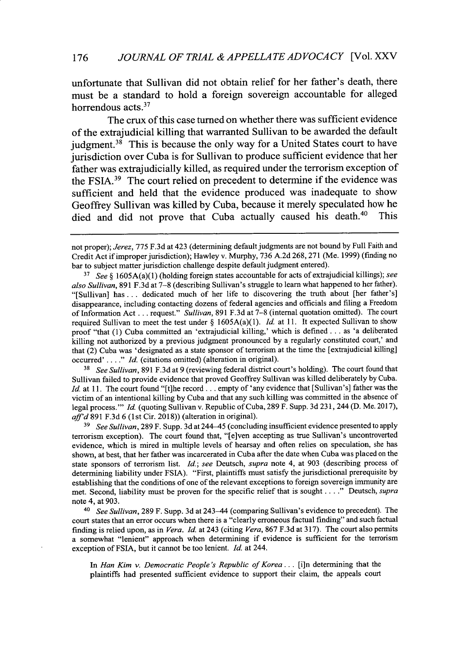unfortunate that Sullivan did not obtain relief for her father's death, there must be a standard to hold a foreign sovereign accountable for alleged horrendous acts.<sup>37</sup>

The crux of this case turned on whether there was sufficient evidence of the extrajudicial killing that warranted Sullivan to be awarded the default judgment.<sup>38</sup> This is because the only way for a United States court to have jurisdiction over Cuba is for Sullivan to produce sufficient evidence that her father was extrajudicially killed, as required under the terrorism exception of the FSIA. $39$  The court relied on precedent to determine if the evidence was sufficient and held that the evidence produced was inadequate to show Geoffrey Sullivan was killed by Cuba, because it merely speculated how he died and did not prove that Cuba actually caused his death.<sup>40</sup> This

**<sup>38</sup>***See Sullivan,* 891 F.3d at 9 (reviewing federal district court's holding). The court found that Sullivan failed to provide evidence that proved Geoffrey Sullivan was killed deliberately by Cuba. Id. at 11. The court found "[t]he record... empty of 'any evidence that [Sullivan's] father was the victim of an intentional killing by Cuba and that any such killing was committed in the absence of legal process."" Id. (quoting Sullivan v. Republic of Cuba, 289 F. Supp. 3d 231, 244 (D. Me. 2017), *affid* 891 F.3d 6 (1st Cir. 2018)) (alteration in original).

<sup>39</sup> See Sullivan, 289 F. Supp. 3d at 244-45 (concluding insufficient evidence presented to apply terrorism exception). The court found that, "[e]ven accepting as true Sullivan's uncontroverted evidence, which is mired in multiple levels of hearsay and often relies on speculation, she has shown, at best, that her father was incarcerated in Cuba after the date when Cuba was placed on the state sponsors of terrorism list. *Id.; see* Deutsch, *supra* note 4, at 903 (describing process of determining liability under FSIA). "First, plaintiffs must satisfy the jurisdictional prerequisite by establishing that the conditions of one of the relevant exceptions to foreign sovereign immunity are met. Second, liability must be proven for the specific relief that is sought **...."** Deutsch, *supra* note 4, at 903.

<sup>40</sup>*See Sullivan,* 289 F. Supp. 3d at 243-44 (comparing Sullivan's evidence to precedent). The court states that an error occurs when there is a "clearly erroneous factual finding" and such factual finding is relied upon, as in *Vera. Id.* at 243 (citing *Vera,* 867 F.3d at 317). The court also permits a somewhat "lenient" approach when determining if evidence is sufficient for the terrorism exception of FSIA, but it cannot be too lenient. *Id.* at 244.

*In Han Kim v. Democratic People's Republic of Korea...* [i]n determining that the plaintiffs had presented sufficient evidence to support their claim, the appeals court

not proper); *Jerez,* 775 F.3d at 423 (determining default judgments are not bound by Full Faith and Credit Act if improper jurisdiction); Hawley v. Murphy, 736 A.2d 268,271 (Me. 1999) (finding no bar to subject matter jurisdiction challenge despite default judgment entered).

**<sup>17</sup>***See §* 1605A(a)(1) (holding foreign states accountable for acts of extrajudicial killings); *see also Sullivan,* 891 F.3d at 7-8 (describing Sullivan's struggle to learn what happened to her father). "[Sullivan] has... dedicated much of her life to discovering the truth about [her father's] disappearance, including contacting dozens of federal agencies and officials and filing a Freedom of Information Act... request." *Sullivan,* 891 F.3d at 7-8 (internal quotation omitted). The court required Sullivan to meet the test under *§* 1605A(a)(1). *Id.* at 11. It expected Sullivan to show proof "that (1) Cuba committed an 'extrajudicial killing,' which is defined. **. .** as 'a deliberated killing not authorized by a previous judgment pronounced by a regularly constituted court,' and that (2) Cuba was 'designated as a state sponsor of terrorism at the time the [extrajudicial killing] occurred'...." **Id.** (citations omitted) (alteration in original).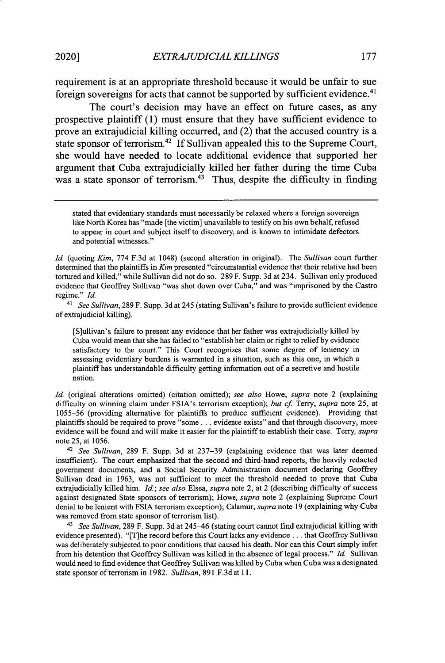requirement is at an appropriate threshold because it would be unfair to sue foreign sovereigns for acts that cannot be supported **by** sufficient evidence.<sup>4</sup> '

The court's decision may have an effect on future cases, as any prospective plaintiff **(1)** must ensure that they have sufficient evidence to prove an extrajudicial killing occurred, and (2) that the accused country is a state sponsor of terrorism.<sup>42</sup>**If** Sullivan appealed this to the Supreme Court, she would have needed to locate additional evidence that supported her argument that Cuba extrajudicially killed her father during the time Cuba was a state sponsor of terrorism.<sup>43</sup> Thus, despite the difficulty in finding

<sup>41</sup>*See Sullivan,* 289 F. Supp. 3d at 245 (stating Sullivan's failure to provide sufficient evidence of extrajudicial killing).

[S]ullivan's failure to present any evidence that her father was extrajudicially killed by Cuba would mean that she has failed to "establish her claim or right to relief by evidence satisfactory to the court." This Court recognizes that some degree of leniency in assessing evidentiary burdens is warranted in a situation, such as this one, in which a plaintiff has understandable difficulty getting information out of a secretive and hostile nation.

*Id.* (original alterations omitted) (citation omitted); *see also* Howe, *supra* note 2 (explaining difficulty on winning claim under FSIA's terrorism exception); *but cf.* Terry, *supra* note 25, at 1055-56 (providing alternative for plaintiffs to produce sufficient evidence). Providing that plaintiffs should be required to prove "some... evidence exists" and that through discovery, more evidence will be found and will make it easier for the plaintiff to establish their case. Terry, *supra* note 25, at 1056.

<sup>42</sup>*See Sullivan,* 289 F. Supp. 3d at 237-39 (explaining evidence that was later deemed insufficient). The court emphasized that the second and third-hand reports, the heavily redacted government documents, and a Social Security Administration document declaring Geoffrey Sullivan dead in 1963, was not sufficient to meet the threshold needed to prove that Cuba extrajudicially killed him. *Id.; see also* Elsea, *supra* note 2, at 2 (describing difficulty of success against designated State sponsors of terrorism); Howe, *supra* note 2 (explaining Supreme Court denial to be lenient with FSIA terrorism exception); Calamur, *supra* note 19 (explaining why Cuba was removed from state sponsor of terrorism list).

<sup>43</sup>*See Sullivan,* 289 F. Supp. 3d at 245-46 (stating court cannot find extrajudicial killing with evidence presented). "[T]he record before this Court lacks any evidence.., that Geoffrey Sullivan was deliberately subjected to poor conditions that caused his death. Nor can this Court simply infer from his detention that Geoffrey Sullivan was killed in the absence of legal process." *Id.* Sullivan would need to find evidence that Geoffrey Sullivan was killed by Cuba when Cuba was a designated state sponsor of terrorism in 1982. *Sullivan,* 891 F.3d at 11.

stated that evidentiary standards must necessarily be relaxed where a foreign sovereign like North Korea has "made [the victim] unavailable to testify on his own behalf, refused to appear in court and subject itself to discovery, and is known to intimidate defectors and potential witnesses."

*Id.* (quoting *Kim,* 774 F.3d at 1048) (second alteration in original). The *Sullivan* court further determined that the plaintiffs in *Kim* presented "circumstantial evidence that their relative had been tortured and killed," while Sullivan did not do so. 289 F. Supp. 3d at 234. Sullivan only produced evidence that Geoffrey Sullivan "was shot down over Cuba," and was "imprisoned by the Castro regime." *Id.*